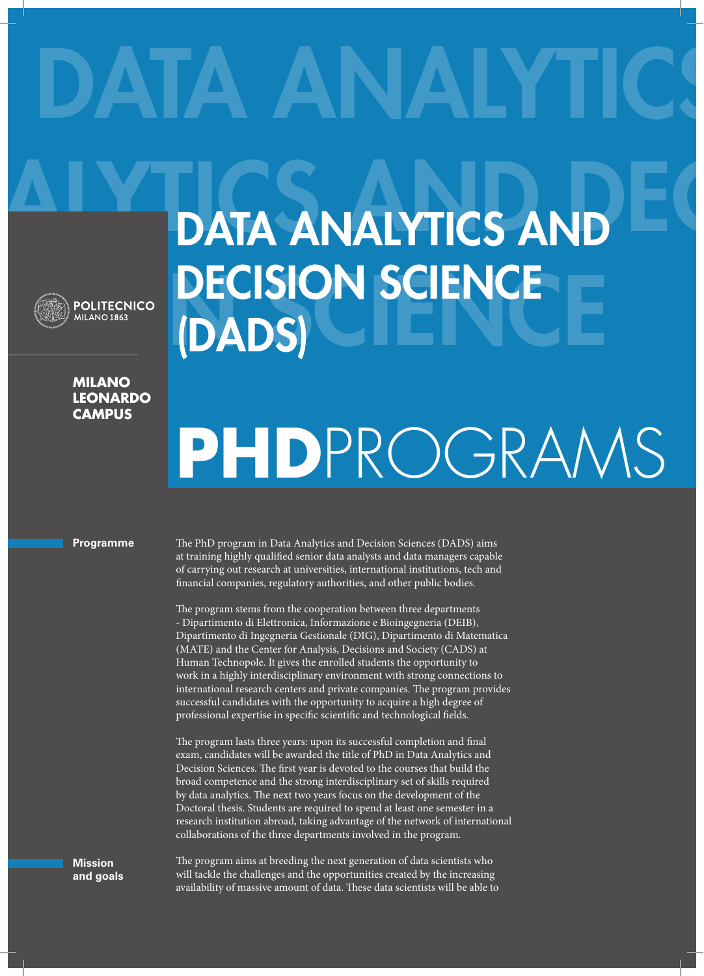## DATA ANALYTICS

DECISION SCIENCE

(DADS)



## **DECISION SCIENCE MILANO**

**LEONARDO CAMPUS**

## **PHD**PROGRAMS

A I Y T DATA ANALYTICS AND EC

## **Programme**

The PhD program in Data Analytics and Decision Sciences (DADS) aims at training highly qualified senior data analysts and data managers capable of carrying out research at universities, international institutions, tech and financial companies, regulatory authorities, and other public bodies.

The program stems from the cooperation between three departments - Dipartimento di Elettronica, Informazione e Bioingegneria (DEIB), Dipartimento di Ingegneria Gestionale (DIG), Dipartimento di Matematica (MATE) and the Center for Analysis, Decisions and Society (CADS) at Human Technopole. It gives the enrolled students the opportunity to work in a highly interdisciplinary environment with strong connections to international research centers and private companies. The program provides successful candidates with the opportunity to acquire a high degree of professional expertise in specific scientific and technological fields.

The program lasts three years: upon its successful completion and final exam, candidates will be awarded the title of PhD in Data Analytics and Decision Sciences. The first year is devoted to the courses that build the broad competence and the strong interdisciplinary set of skills required by data analytics. The next two years focus on the development of the Doctoral thesis. Students are required to spend at least one semester in a research institution abroad, taking advantage of the network of international collaborations of the three departments involved in the program.

**Mission and goals** The program aims at breeding the next generation of data scientists who will tackle the challenges and the opportunities created by the increasing availability of massive amount of data. These data scientists will be able to